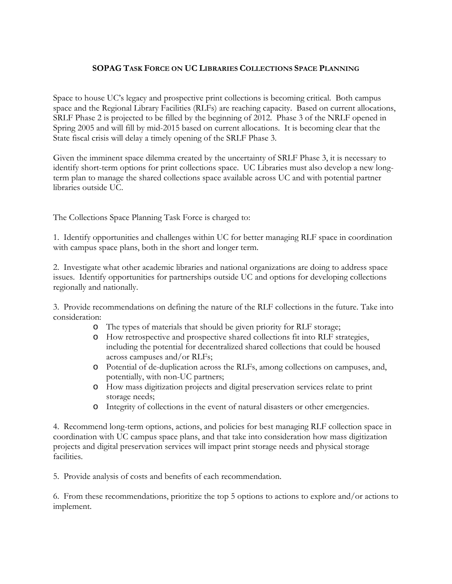## **SOPAG TASK FORCE ON UC LIBRARIES COLLECTIONS SPACE PLANNING**

Space to house UC's legacy and prospective print collections is becoming critical. Both campus space and the Regional Library Facilities (RLFs) are reaching capacity. Based on current allocations, SRLF Phase 2 is projected to be filled by the beginning of 2012. Phase 3 of the NRLF opened in Spring 2005 and will fill by mid-2015 based on current allocations. It is becoming clear that the State fiscal crisis will delay a timely opening of the SRLF Phase 3.

Given the imminent space dilemma created by the uncertainty of SRLF Phase 3, it is necessary to identify short-term options for print collections space. UC Libraries must also develop a new longterm plan to manage the shared collections space available across UC and with potential partner libraries outside UC.

The Collections Space Planning Task Force is charged to:

1. Identify opportunities and challenges within UC for better managing RLF space in coordination with campus space plans, both in the short and longer term.

2. Investigate what other academic libraries and national organizations are doing to address space issues. Identify opportunities for partnerships outside UC and options for developing collections regionally and nationally.

3. Provide recommendations on defining the nature of the RLF collections in the future. Take into consideration:

- o The types of materials that should be given priority for RLF storage;
- o How retrospective and prospective shared collections fit into RLF strategies, including the potential for decentralized shared collections that could be housed across campuses and/or RLFs;
- o Potential of de-duplication across the RLFs, among collections on campuses, and, potentially, with non-UC partners;
- o How mass digitization projects and digital preservation services relate to print storage needs;
- o Integrity of collections in the event of natural disasters or other emergencies.

4. Recommend long-term options, actions, and policies for best managing RLF collection space in coordination with UC campus space plans, and that take into consideration how mass digitization projects and digital preservation services will impact print storage needs and physical storage facilities.

5. Provide analysis of costs and benefits of each recommendation.

6. From these recommendations, prioritize the top 5 options to actions to explore and/or actions to implement.